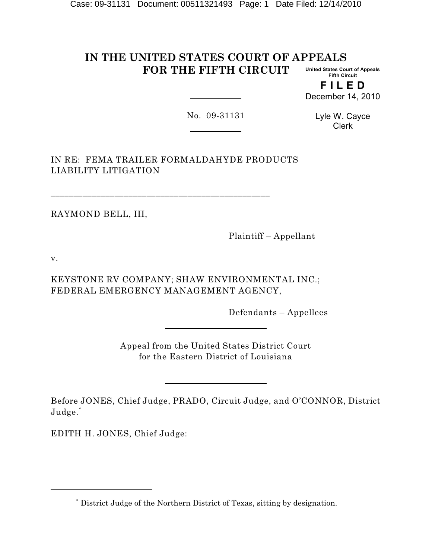#### **IN THE UNITED STATES COURT OF APPEALS FOR THE FIFTH CIRCUIT United States Court of Appeals Fifth Circuit**

**F I L E D** December 14, 2010

No. 09-31131

Lyle W. Cayce Clerk

IN RE: FEMA TRAILER FORMALDAHYDE PRODUCTS LIABILITY LITIGATION

\_\_\_\_\_\_\_\_\_\_\_\_\_\_\_\_\_\_\_\_\_\_\_\_\_\_\_\_\_\_\_\_\_\_\_\_\_\_\_\_\_\_\_\_\_\_\_\_

RAYMOND BELL, III,

Plaintiff – Appellant

v.

KEYSTONE RV COMPANY; SHAW ENVIRONMENTAL INC.; FEDERAL EMERGENCY MANAGEMENT AGENCY,

Defendants – Appellees

Appeal from the United States District Court for the Eastern District of Louisiana

Before JONES, Chief Judge, PRADO, Circuit Judge, and O'CONNOR, District Judge. \*

EDITH H. JONES, Chief Judge:

District Judge of the Northern District of Texas, sitting by designation. \*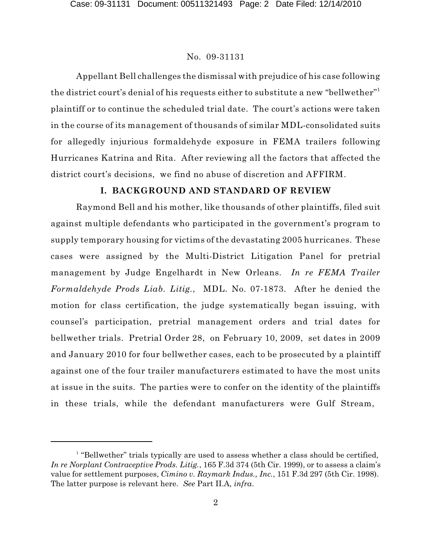Appellant Bell challenges the dismissal with prejudice of his case following the district court's denial of his requests either to substitute a new "bellwether"  $^{\rm l}$ plaintiff or to continue the scheduled trial date. The court's actions were taken in the course of its management of thousands of similar MDL-consolidated suits for allegedly injurious formaldehyde exposure in FEMA trailers following Hurricanes Katrina and Rita. After reviewing all the factors that affected the district court's decisions, we find no abuse of discretion and AFFIRM.

# **I. BACKGROUND AND STANDARD OF REVIEW**

Raymond Bell and his mother, like thousands of other plaintiffs, filed suit against multiple defendants who participated in the government's program to supply temporary housing for victims of the devastating 2005 hurricanes. These cases were assigned by the Multi-District Litigation Panel for pretrial management by Judge Engelhardt in New Orleans. *In re FEMA Trailer Formaldehyde Prods Liab. Litig.*, MDL. No. 07-1873. After he denied the motion for class certification, the judge systematically began issuing, with counsel's participation, pretrial management orders and trial dates for bellwether trials. Pretrial Order 28, on February 10, 2009, set dates in 2009 and January 2010 for four bellwether cases, each to be prosecuted by a plaintiff against one of the four trailer manufacturers estimated to have the most units at issue in the suits. The parties were to confer on the identity of the plaintiffs in these trials, while the defendant manufacturers were Gulf Stream,

<sup>&</sup>lt;sup>1</sup> "Bellwether" trials typically are used to assess whether a class should be certified, *In re Norplant Contraceptive Prods. Litig.*, 165 F.3d 374 (5th Cir. 1999), or to assess a claim's value for settlement purposes, *Cimino v. Raymark Indus., Inc.*, 151 F.3d 297 (5th Cir. 1998). The latter purpose is relevant here. *See* Part II.A, *infra*.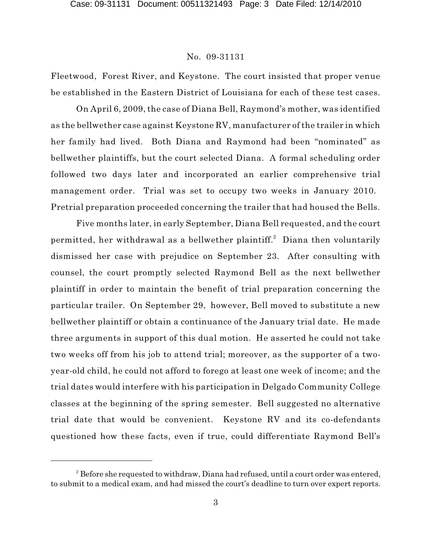Fleetwood, Forest River, and Keystone. The court insisted that proper venue be established in the Eastern District of Louisiana for each of these test cases.

On April 6, 2009, the case of Diana Bell, Raymond's mother, was identified as the bellwether case against Keystone RV, manufacturer of the trailer in which her family had lived. Both Diana and Raymond had been "nominated" as bellwether plaintiffs, but the court selected Diana. A formal scheduling order followed two days later and incorporated an earlier comprehensive trial management order. Trial was set to occupy two weeks in January 2010. Pretrial preparation proceeded concerning the trailer that had housed the Bells.

Five months later, in early September, Diana Bell requested, and the court permitted, her withdrawal as a bellwether plaintiff. $^2$  Diana then voluntarily dismissed her case with prejudice on September 23. After consulting with counsel, the court promptly selected Raymond Bell as the next bellwether plaintiff in order to maintain the benefit of trial preparation concerning the particular trailer. On September 29, however, Bell moved to substitute a new bellwether plaintiff or obtain a continuance of the January trial date. He made three arguments in support of this dual motion. He asserted he could not take two weeks off from his job to attend trial; moreover, as the supporter of a twoyear-old child, he could not afford to forego at least one week of income; and the trial dates would interfere with his participation in Delgado Community College classes at the beginning of the spring semester. Bell suggested no alternative trial date that would be convenient. Keystone RV and its co-defendants questioned how these facts, even if true, could differentiate Raymond Bell's

 $^2$  Before she requested to withdraw, Diana had refused, until a court order was entered, to submit to a medical exam, and had missed the court's deadline to turn over expert reports.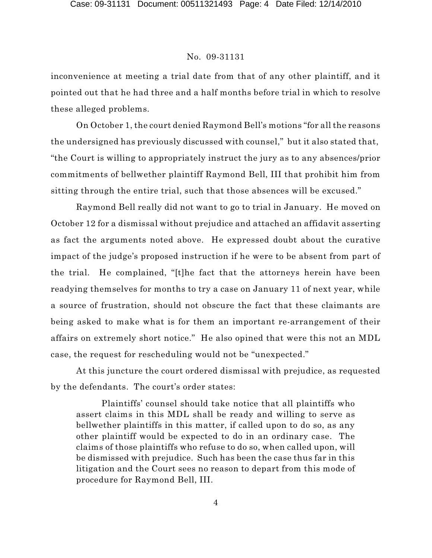inconvenience at meeting a trial date from that of any other plaintiff, and it pointed out that he had three and a half months before trial in which to resolve these alleged problems.

On October 1, the court denied Raymond Bell's motions "for all the reasons the undersigned has previously discussed with counsel," but it also stated that, "the Court is willing to appropriately instruct the jury as to any absences/prior commitments of bellwether plaintiff Raymond Bell, III that prohibit him from sitting through the entire trial, such that those absences will be excused."

Raymond Bell really did not want to go to trial in January. He moved on October 12 for a dismissal without prejudice and attached an affidavit asserting as fact the arguments noted above. He expressed doubt about the curative impact of the judge's proposed instruction if he were to be absent from part of the trial. He complained, "[t]he fact that the attorneys herein have been readying themselves for months to try a case on January 11 of next year, while a source of frustration, should not obscure the fact that these claimants are being asked to make what is for them an important re-arrangement of their affairs on extremely short notice." He also opined that were this not an MDL case, the request for rescheduling would not be "unexpected."

At this juncture the court ordered dismissal with prejudice, as requested by the defendants. The court's order states:

Plaintiffs' counsel should take notice that all plaintiffs who assert claims in this MDL shall be ready and willing to serve as bellwether plaintiffs in this matter, if called upon to do so, as any other plaintiff would be expected to do in an ordinary case. The claims of those plaintiffs who refuse to do so, when called upon, will be dismissed with prejudice. Such has been the case thus far in this litigation and the Court sees no reason to depart from this mode of procedure for Raymond Bell, III.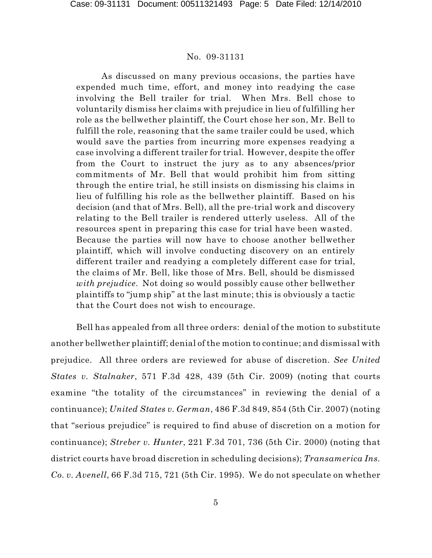Case: 09-31131 Document: 00511321493 Page: 5 Date Filed: 12/14/2010

#### No. 09-31131

As discussed on many previous occasions, the parties have expended much time, effort, and money into readying the case involving the Bell trailer for trial. When Mrs. Bell chose to voluntarily dismiss her claims with prejudice in lieu of fulfilling her role as the bellwether plaintiff, the Court chose her son, Mr. Bell to fulfill the role, reasoning that the same trailer could be used, which would save the parties from incurring more expenses readying a case involving a different trailer for trial. However, despite the offer from the Court to instruct the jury as to any absences/prior commitments of Mr. Bell that would prohibit him from sitting through the entire trial, he still insists on dismissing his claims in lieu of fulfilling his role as the bellwether plaintiff. Based on his decision (and that of Mrs. Bell), all the pre-trial work and discovery relating to the Bell trailer is rendered utterly useless. All of the resources spent in preparing this case for trial have been wasted. Because the parties will now have to choose another bellwether plaintiff, which will involve conducting discovery on an entirely different trailer and readying a completely different case for trial, the claims of Mr. Bell, like those of Mrs. Bell, should be dismissed *with prejudice*. Not doing so would possibly cause other bellwether plaintiffs to "jump ship" at the last minute; this is obviously a tactic that the Court does not wish to encourage.

Bell has appealed from all three orders: denial of the motion to substitute another bellwether plaintiff; denial of the motion to continue; and dismissal with prejudice. All three orders are reviewed for abuse of discretion. *See United States v. Stalnaker*, 571 F.3d 428, 439 (5th Cir. 2009) (noting that courts examine "the totality of the circumstances" in reviewing the denial of a continuance); *United States v. German*, 486 F.3d 849, 854 (5th Cir. 2007) (noting that "serious prejudice" is required to find abuse of discretion on a motion for continuance); *Streber v. Hunter*, 221 F.3d 701, 736 (5th Cir. 2000) (noting that district courts have broad discretion in scheduling decisions); *Transamerica Ins. Co. v. Avenell*, 66 F.3d 715, 721 (5th Cir. 1995). We do not speculate on whether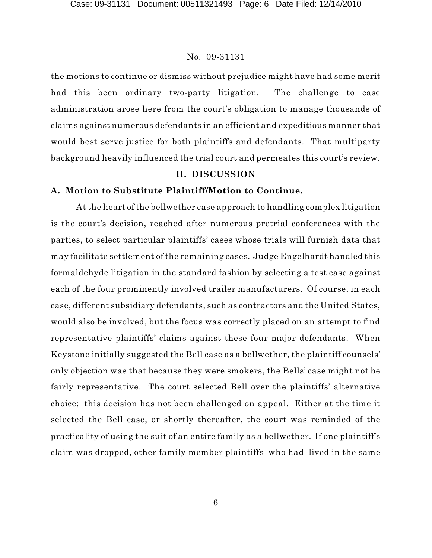the motions to continue or dismiss without prejudice might have had some merit had this been ordinary two-party litigation. The challenge to case administration arose here from the court's obligation to manage thousands of claims against numerous defendants in an efficient and expeditious manner that would best serve justice for both plaintiffs and defendants. That multiparty background heavily influenced the trial court and permeates this court's review.

# **II. DISCUSSION**

# **A. Motion to Substitute Plaintiff/Motion to Continue.**

At the heart of the bellwether case approach to handling complex litigation is the court's decision, reached after numerous pretrial conferences with the parties, to select particular plaintiffs' cases whose trials will furnish data that may facilitate settlement of the remaining cases. Judge Engelhardt handled this formaldehyde litigation in the standard fashion by selecting a test case against each of the four prominently involved trailer manufacturers. Of course, in each case, different subsidiary defendants, such as contractors and the United States, would also be involved, but the focus was correctly placed on an attempt to find representative plaintiffs' claims against these four major defendants. When Keystone initially suggested the Bell case as a bellwether, the plaintiff counsels' only objection was that because they were smokers, the Bells' case might not be fairly representative. The court selected Bell over the plaintiffs' alternative choice; this decision has not been challenged on appeal. Either at the time it selected the Bell case, or shortly thereafter, the court was reminded of the practicality of using the suit of an entire family as a bellwether. If one plaintiff's claim was dropped, other family member plaintiffs who had lived in the same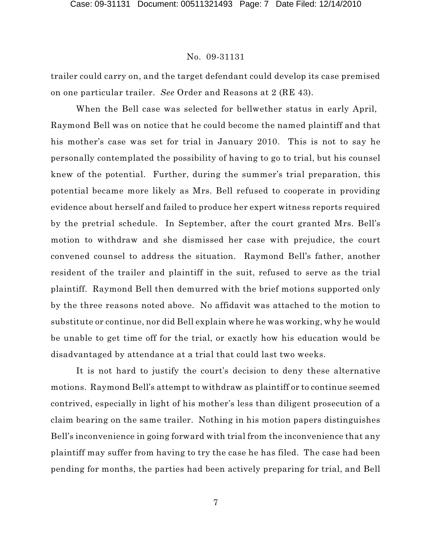trailer could carry on, and the target defendant could develop its case premised on one particular trailer. *See* Order and Reasons at 2 (RE 43).

When the Bell case was selected for bellwether status in early April, Raymond Bell was on notice that he could become the named plaintiff and that his mother's case was set for trial in January 2010. This is not to say he personally contemplated the possibility of having to go to trial, but his counsel knew of the potential. Further, during the summer's trial preparation, this potential became more likely as Mrs. Bell refused to cooperate in providing evidence about herself and failed to produce her expert witness reports required by the pretrial schedule. In September, after the court granted Mrs. Bell's motion to withdraw and she dismissed her case with prejudice, the court convened counsel to address the situation. Raymond Bell's father, another resident of the trailer and plaintiff in the suit, refused to serve as the trial plaintiff. Raymond Bell then demurred with the brief motions supported only by the three reasons noted above. No affidavit was attached to the motion to substitute or continue, nor did Bell explain where he was working, why he would be unable to get time off for the trial, or exactly how his education would be disadvantaged by attendance at a trial that could last two weeks.

It is not hard to justify the court's decision to deny these alternative motions. Raymond Bell's attempt to withdraw as plaintiff or to continue seemed contrived, especially in light of his mother's less than diligent prosecution of a claim bearing on the same trailer. Nothing in his motion papers distinguishes Bell's inconvenience in going forward with trial from the inconvenience that any plaintiff may suffer from having to try the case he has filed. The case had been pending for months, the parties had been actively preparing for trial, and Bell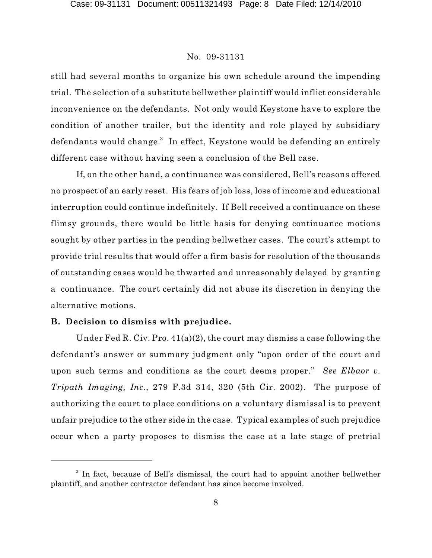still had several months to organize his own schedule around the impending trial. The selection of a substitute bellwether plaintiff would inflict considerable inconvenience on the defendants. Not only would Keystone have to explore the condition of another trailer, but the identity and role played by subsidiary defendants would change. $^3$  In effect, Keystone would be defending an entirely different case without having seen a conclusion of the Bell case.

If, on the other hand, a continuance was considered, Bell's reasons offered no prospect of an early reset. His fears of job loss, loss of income and educational interruption could continue indefinitely. If Bell received a continuance on these flimsy grounds, there would be little basis for denying continuance motions sought by other parties in the pending bellwether cases. The court's attempt to provide trial results that would offer a firm basis for resolution of the thousands of outstanding cases would be thwarted and unreasonably delayed by granting a continuance. The court certainly did not abuse its discretion in denying the alternative motions.

## **B. Decision to dismiss with prejudice.**

Under Fed R. Civ. Pro. 41(a)(2), the court may dismiss a case following the defendant's answer or summary judgment only "upon order of the court and upon such terms and conditions as the court deems proper." *See Elbaor v. Tripath Imaging, Inc.*, 279 F.3d 314, 320 (5th Cir. 2002). The purpose of authorizing the court to place conditions on a voluntary dismissal is to prevent unfair prejudice to the other side in the case. Typical examples of such prejudice occur when a party proposes to dismiss the case at a late stage of pretrial

<sup>&</sup>lt;sup>3</sup> In fact, because of Bell's dismissal, the court had to appoint another bellwether plaintiff, and another contractor defendant has since become involved.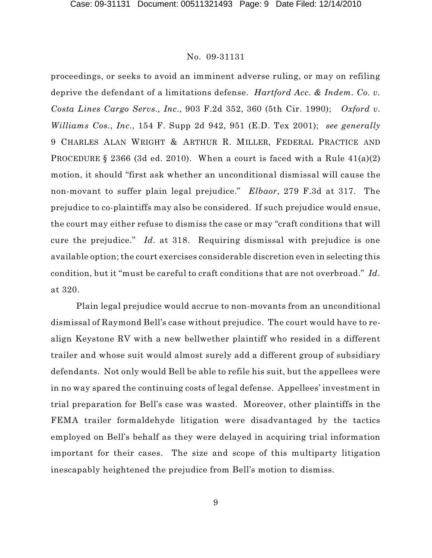proceedings, or seeks to avoid an imminent adverse ruling, or may on refiling deprive the defendant of a limitations defense. *Hartford Acc. & Indem. Co. v. Costa Lines Cargo Servs., Inc.*, 903 F.2d 352, 360 (5th Cir. 1990); *Oxford v. Williams Cos.*, *Inc.*, 154 F. Supp 2d 942, 951 (E.D. Tex 2001); *see generally* 9 CHARLES ALAN WRIGHT & ARTHUR R. MILLER, FEDERAL PRACTICE AND PROCEDURE § 2366 (3d ed. 2010). When a court is faced with a Rule  $41(a)(2)$ motion, it should "first ask whether an unconditional dismissal will cause the non-movant to suffer plain legal prejudice." *Elbaor*, 279 F.3d at 317. The prejudice to co-plaintiffs may also be considered. If such prejudice would ensue, the court may either refuse to dismiss the case or may "craft conditions that will cure the prejudice." *Id*. at 318. Requiring dismissal with prejudice is one available option; the court exercises considerable discretion even in selecting this condition, but it "must be careful to craft conditions that are not overbroad." *Id*. at 320.

Plain legal prejudice would accrue to non-movants from an unconditional dismissal of Raymond Bell's case without prejudice. The court would have to realign Keystone RV with a new bellwether plaintiff who resided in a different trailer and whose suit would almost surely add a different group of subsidiary defendants. Not only would Bell be able to refile his suit, but the appellees were in no way spared the continuing costs of legal defense. Appellees' investment in trial preparation for Bell's case was wasted. Moreover, other plaintiffs in the FEMA trailer formaldehyde litigation were disadvantaged by the tactics employed on Bell's behalf as they were delayed in acquiring trial information important for their cases. The size and scope of this multiparty litigation inescapably heightened the prejudice from Bell's motion to dismiss.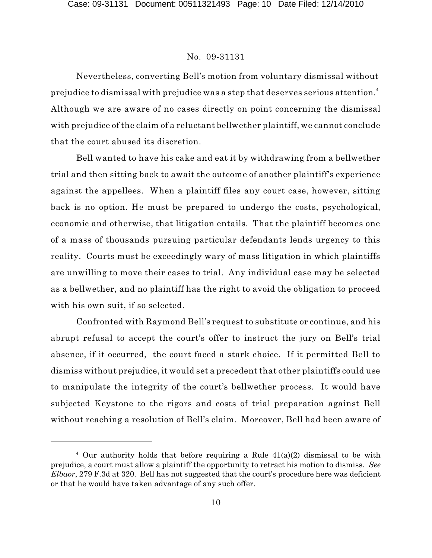Nevertheless, converting Bell's motion from voluntary dismissal without prejudice to dismissal with prejudice was a step that deserves serious attention. 4 Although we are aware of no cases directly on point concerning the dismissal with prejudice of the claim of a reluctant bellwether plaintiff, we cannot conclude that the court abused its discretion.

Bell wanted to have his cake and eat it by withdrawing from a bellwether trial and then sitting back to await the outcome of another plaintiff's experience against the appellees. When a plaintiff files any court case, however, sitting back is no option. He must be prepared to undergo the costs, psychological, economic and otherwise, that litigation entails. That the plaintiff becomes one of a mass of thousands pursuing particular defendants lends urgency to this reality. Courts must be exceedingly wary of mass litigation in which plaintiffs are unwilling to move their cases to trial. Any individual case may be selected as a bellwether, and no plaintiff has the right to avoid the obligation to proceed with his own suit, if so selected.

Confronted with Raymond Bell's request to substitute or continue, and his abrupt refusal to accept the court's offer to instruct the jury on Bell's trial absence, if it occurred, the court faced a stark choice. If it permitted Bell to dismiss without prejudice, it would set a precedent that other plaintiffs could use to manipulate the integrity of the court's bellwether process. It would have subjected Keystone to the rigors and costs of trial preparation against Bell without reaching a resolution of Bell's claim. Moreover, Bell had been aware of

<sup>&</sup>lt;sup>4</sup> Our authority holds that before requiring a Rule  $41(a)(2)$  dismissal to be with prejudice, a court must allow a plaintiff the opportunity to retract his motion to dismiss. *See Elbaor*, 279 F.3d at 320. Bell has not suggested that the court's procedure here was deficient or that he would have taken advantage of any such offer.